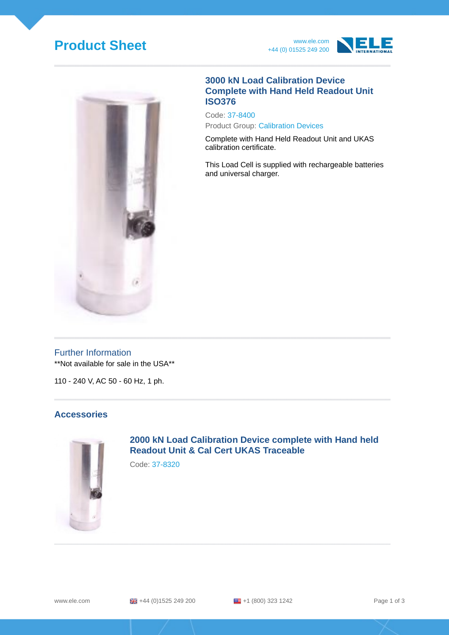# **Product Sheet** www.ele.com





### **3000 kN Load Calibration Device Complete with Hand Held Readout Unit ISO376**

Code: 37-8400 Product Group: Calibration Devices

Complete with Hand Held Readout Unit and UKAS calibration certificate.

This Load Cell is supplied with rechargeable batteries and universal charger.

### Further Information

\*\*Not available for sale in the USA\*\*

110 - 240 V, AC 50 - 60 Hz, 1 ph.

### **Accessories**



**2000 kN Load Calibration Device complete with Hand held Readout Unit & Cal Cert UKAS Traceable**

Code: 37-8320

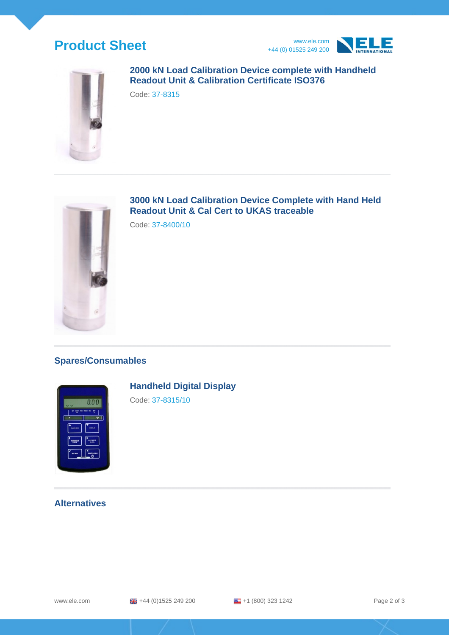# **Product Sheet** www.ele.com





## **2000 kN Load Calibration Device complete with Handheld Readout Unit & Calibration Certificate ISO376**

Code: 37-8315



**3000 kN Load Calibration Device Complete with Hand Held Readout Unit & Cal Cert to UKAS traceable**

Code: 37-8400/10

# **Spares/Consumables**



**Handheld Digital Display**

Code: 37-8315/10

## **Alternatives**